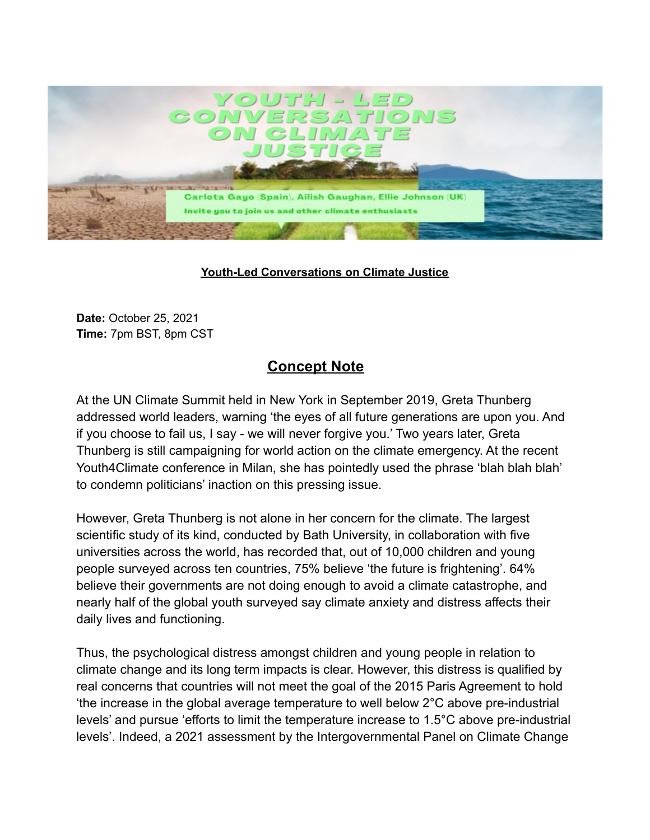

## **Youth-Led Conversations on Climate Justice**

**Date:** October 25, 2021 **Time:** 7pm BST, 8pm CST

## **Concept Note**

At the UN Climate Summit held in New York in September 2019, Greta Thunberg addressed world leaders, warning 'the eyes of all future generations are upon you. And if you choose to fail us, I say - we will never forgive you.' Two years later, Greta Thunberg is still campaigning for world action on the climate emergency. At the recent Youth4Climate conference in Milan, she has pointedly used the phrase 'blah blah blah' to condemn politicians' inaction on this pressing issue.

However, Greta Thunberg is not alone in her concern for the climate. The largest scientific study of its kind, conducted by Bath University, in collaboration with five universities across the world, has recorded that, out of 10,000 children and young people surveyed across ten countries, 75% believe 'the future is frightening'. 64% believe their governments are not doing enough to avoid a climate catastrophe, and nearly half of the global youth surveyed say climate anxiety and distress affects their daily lives and functioning.

Thus, the psychological distress amongst children and young people in relation to climate change and its long term impacts is clear. However, this distress is qualified by real concerns that countries will not meet the goal of the 2015 Paris Agreement to hold 'the increase in the global average temperature to well below 2°C above pre-industrial levels' and pursue 'efforts to limit the temperature increase to 1.5°C above pre-industrial levels'. Indeed, a 2021 assessment by the Intergovernmental Panel on Climate Change